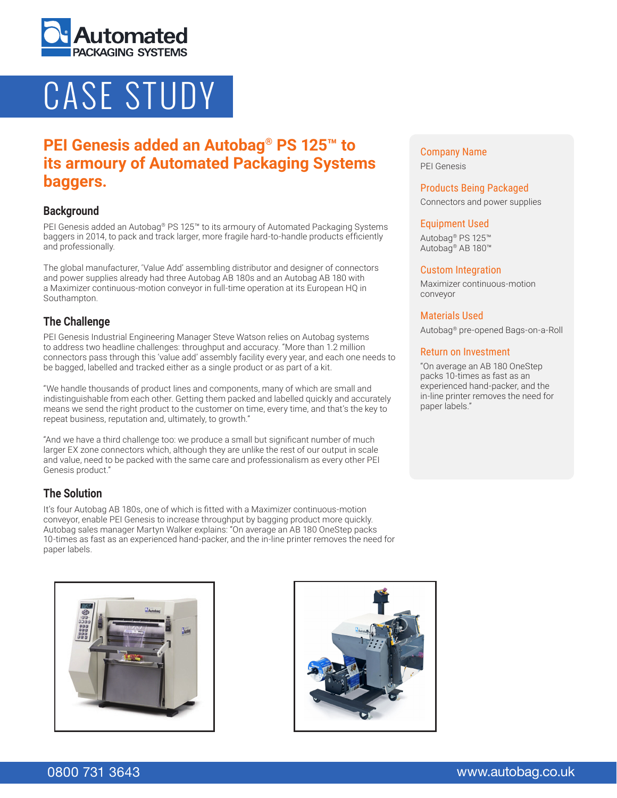

# CASE STUDY

# **PEI Genesis added an Autobag® PS 125™ to its armoury of Automated Packaging Systems baggers.**

### **Background**

PEI Genesis added an Autobag® PS 125™ to its armoury of Automated Packaging Systems baggers in 2014, to pack and track larger, more fragile hard-to-handle products efficiently and professionally.

The global manufacturer, 'Value Add' assembling distributor and designer of connectors and power supplies already had three Autobag AB 180s and an Autobag AB 180 with a Maximizer continuous-motion conveyor in full-time operation at its European HQ in Southampton.

# **The Challenge**

PEI Genesis Industrial Engineering Manager Steve Watson relies on Autobag systems to address two headline challenges: throughput and accuracy. "More than 1.2 million connectors pass through this 'value add' assembly facility every year, and each one needs to be bagged, labelled and tracked either as a single product or as part of a kit.

"We handle thousands of product lines and components, many of which are small and indistinguishable from each other. Getting them packed and labelled quickly and accurately means we send the right product to the customer on time, every time, and that's the key to repeat business, reputation and, ultimately, to growth."

"And we have a third challenge too: we produce a small but significant number of much larger EX zone connectors which, although they are unlike the rest of our output in scale and value, need to be packed with the same care and professionalism as every other PEI Genesis product."

# **The Solution**

It's four Autobag AB 180s, one of which is fitted with a Maximizer continuous-motion conveyor, enable PEI Genesis to increase throughput by bagging product more quickly. Autobag sales manager Martyn Walker explains: "On average an AB 180 OneStep packs 10-times as fast as an experienced hand-packer, and the in-line printer removes the need for paper labels.





Company Name PEI Genesis

#### Products Being Packaged

Connectors and power supplies

#### Equipment Used

Autobag® PS 125™ Autobag® AB 180™

#### Custom Integration

Maximizer continuous-motion conveyor

#### Materials Used

Autobag® pre-opened Bags-on-a-Roll

#### Return on Investment

"On average an AB 180 OneStep packs 10-times as fast as an experienced hand-packer, and the in-line printer removes the need for paper labels."